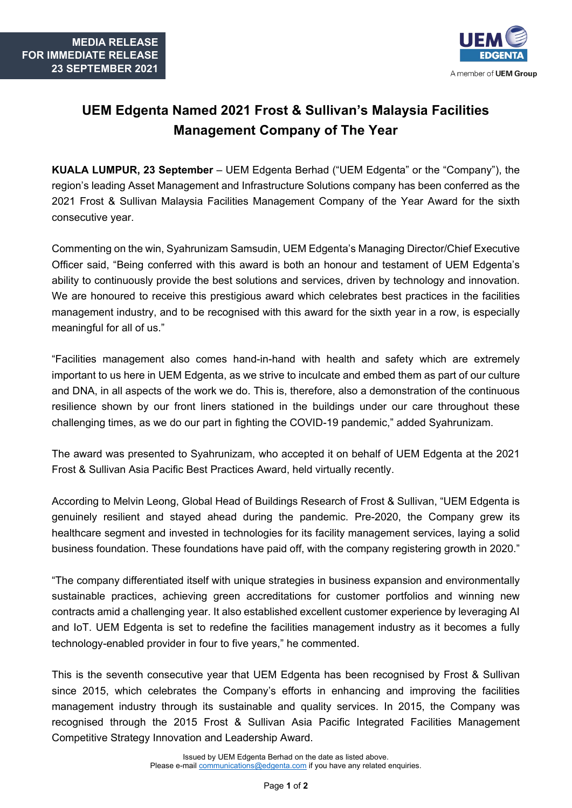

## **UEM Edgenta Named 2021 Frost & Sullivan's Malaysia Facilities Management Company of The Year**

**KUALA LUMPUR, 23 September** – UEM Edgenta Berhad ("UEM Edgenta" or the "Company"), the region's leading Asset Management and Infrastructure Solutions company has been conferred as the 2021 Frost & Sullivan Malaysia Facilities Management Company of the Year Award for the sixth consecutive year.

Commenting on the win, Syahrunizam Samsudin, UEM Edgenta's Managing Director/Chief Executive Officer said, "Being conferred with this award is both an honour and testament of UEM Edgenta's ability to continuously provide the best solutions and services, driven by technology and innovation. We are honoured to receive this prestigious award which celebrates best practices in the facilities management industry, and to be recognised with this award for the sixth year in a row, is especially meaningful for all of us."

"Facilities management also comes hand-in-hand with health and safety which are extremely important to us here in UEM Edgenta, as we strive to inculcate and embed them as part of our culture and DNA, in all aspects of the work we do. This is, therefore, also a demonstration of the continuous resilience shown by our front liners stationed in the buildings under our care throughout these challenging times, as we do our part in fighting the COVID-19 pandemic," added Syahrunizam.

The award was presented to Syahrunizam, who accepted it on behalf of UEM Edgenta at the 2021 Frost & Sullivan Asia Pacific Best Practices Award, held virtually recently.

According to Melvin Leong, Global Head of Buildings Research of Frost & Sullivan, "UEM Edgenta is genuinely resilient and stayed ahead during the pandemic. Pre-2020, the Company grew its healthcare segment and invested in technologies for its facility management services, laying a solid business foundation. These foundations have paid off, with the company registering growth in 2020."

"The company differentiated itself with unique strategies in business expansion and environmentally sustainable practices, achieving green accreditations for customer portfolios and winning new contracts amid a challenging year. It also established excellent customer experience by leveraging AI and IoT. UEM Edgenta is set to redefine the facilities management industry as it becomes a fully technology-enabled provider in four to five years," he commented.

This is the seventh consecutive year that UEM Edgenta has been recognised by Frost & Sullivan since 2015, which celebrates the Company's efforts in enhancing and improving the facilities management industry through its sustainable and quality services. In 2015, the Company was recognised through the 2015 Frost & Sullivan Asia Pacific Integrated Facilities Management Competitive Strategy Innovation and Leadership Award.